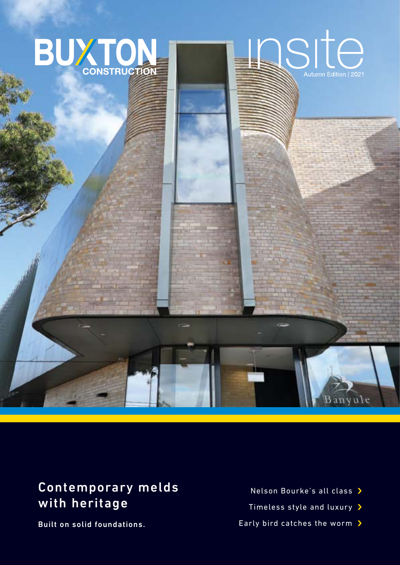

# Contemporary melds with heritage

Built on solid foundations.

- Nelson Bourke's all class >
- Timeless style and luxury >
- Early bird catches the worm >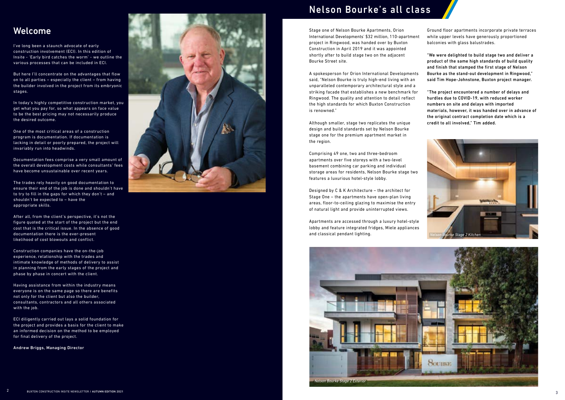## Welcome

l've long been a staunch advocate of early construction involvement (ECI). In this edition of Insite - 'Early bird catches the worm' - we outline the various processes that can be included in ECI.

But here I'll concentrate on the advantages that flow on to all parties – especially the client – from having the builder involved in the project from its embryonic stages.

In today's highly competitive construction market, you get what you pay for, so what appears on face value to be the best pricing may not necessarily produce the desired outcome.

One of the most critical areas of a construction program is documentation. If documentation is lacking in detail or poorly prepared, the project will invariably run into headwinds.

Documentation fees comprise a very small amount of the overall development costs while consultants' fees have become unsustainable over recent years.

The trades rely heavily on good documentation to ensure their end of the job is done and shouldn't have to try to fill in the gaps for which they don't – and shouldn't be expected to - have the appropriate skills.

After all, from the client's perspective, it's not the figure quoted at the start of the project but the end cost that is the critical issue. In the absence of good documentation there is the ever-present likelihood of cost blowouts and conflict.

Construction companies have the on-the-job experience, relationship with the trades and intimate knowledge of methods of delivery to assist in planning from the early stages of the project and phase by phase in concert with the client.

Having assistance from within the industry means everyone is on the same page so there are benefits not only for the client but also the builder, consultants, contractors and all others associated with the job.

ECI diligently carried out lays a solid foundation for the project and provides a basis for the client to make an informed decision on the method to be employed for final delivery of the project.

Andrew Briggs, Managing Director

2



# Nelson Bourke's all class

Stage one of Nelson Bourke Apartments, Orion International Developments' \$32 million, 110-apartment project in Ringwood, was handed over by Buxton Construction in April 2019 and it was appointed shortly after to build stage two on the adjacent Bourke Street site.

A spokesperson for Orion International Developments said, "Nelson Bourke is truly high-end living with an unparalleled contemporary architectural style and a striking facade that establishes a new benchmark for Ringwood. The quality and attention to detail reflect the high standards for which Buxton Construction is renowned."

Although smaller, stage two replicates the unique design and build standards set by Nelson Bourke stage one for the premium apartment market in the region.

Comprising 49 one, two and three-bedroom apartments over five storeys with a two-level basement combining car parking and individual storage areas for residents, Nelson Bourke stage two features a luxurious hotel-style lobby.

Designed by C & K Architecture - the architect for Stage One – the apartments have open-plan living areas, floor-to-ceiling glazing to maximise the entry of natural light and provide uninterrupted views.

Apartments are accessed through a luxury hotel-style lobby and feature integrated fridges, Miele appliances and classical pendant lighting.





Ground floor apartments incorporate private terraces while upper levels have generously proportioned balconies with glass balustrades.

"We were delighted to build stage two and deliver a product of the same high standards of build quality and finish that stamped the first stage of Nelson Bourke as the stand-out development in Ringwood," said Tim Hope-Johnstone, Buxton project manager.

"The project encountered a number of delays and hurdles due to COVID-19, with reduced worker numbers on site and delays with imported materials, however, it was handed over in advance of the original contract completion date which is a credit to all involved," Tim added.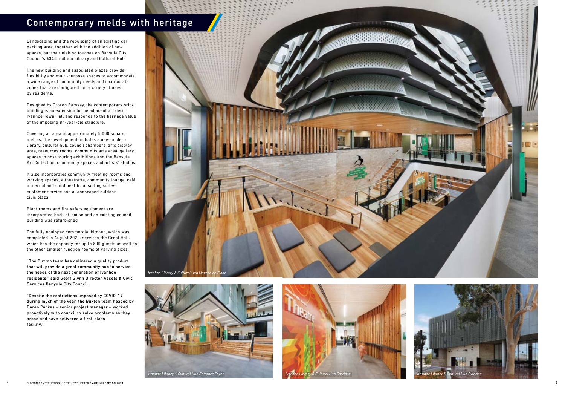Landscaping and the rebuilding of an existing car parking area, together with the addition of new spaces, put the finishing touches on Banyule City Council's \$34.5 million Library and Cultural Hub.

The new building and associated plazas provide flexibility and multi-purpose spaces to accommodate a wide range of community needs and incorporate zones that are configured for a variety of uses by residents.

Designed by Croxon Ramsay, the contemporary brick building is an extension to the adjacent art deco Ivanhoe Town Hall and responds to the heritage value of the imposing 84-year-old structure.

Covering an area of approximately 5,000 square metres, the development includes a new modern library, cultural hub, council chambers, arts display area, resources rooms, community arts area, gallery spaces to host touring exhibitions and the Banyule Art Collection, community spaces and artists' studios.

It also incorporates community meeting rooms and working spaces, a theatrette, community lounge, café, maternal and child health consulting suites, customer service and a landscaped outdoor civic plaza.

Plant rooms and fire safety equipment are incorporated back-of-house and an existing council building was refurbished

The fully equipped commercial kitchen, which was completed in August 2020, services the Great Hall, which has the capacity for up to 800 guests as well as the other smaller function rooms of varying sizes.

"The Buxton team has delivered a quality product that will provide a great community hub to service the needs of the next generation of Ivanhoe residents," said Geoff Glynn Director Assets & Civic Services Banyule City Council.

"Despite the restrictions imposed by COVID-19 during much of the year, the Buxton team headed by Daren Parkes – senior project manager – worked proactively with council to solve problems as they arose and have delivered a first-class facility."

# Contemporary melds with heritage

4 BUXTON CONSTRUCTION INSITE NEWSLETTER / AUTUMN EDITION <sup>2021</sup>











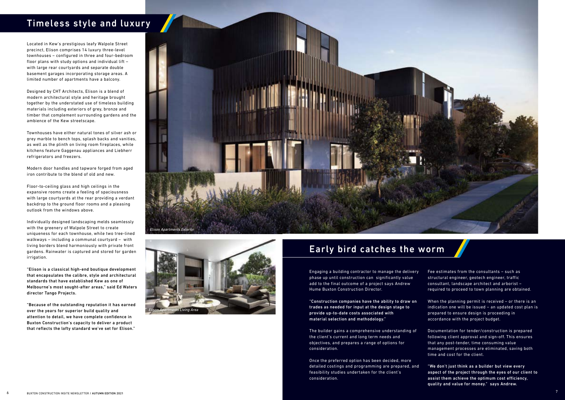Located in Kew's prestigious leafy Walpole Street precinct, Elison comprises 14 luxury three-level townhouses – configured in three and four-bedroom floor plans with study options and individual lift – with large rear courtyards and separate double basement garages incorporating storage areas. A limited number of apartments have a balcony.

Designed by CHT Architects, Elison is a blend of modern architectural style and heritage brought together by the understated use of timeless building materials including exteriors of grey, bronze and timber that complement surrounding gardens and the ambience of the Kew streetscape.

Townhouses have either natural tones of silver ash or grey marble to bench tops, splash backs and vanities, as well as the plinth on living room fireplaces, while kitchens feature Gaggenau appliances and Liebherr refrigerators and freezers.

Modern door handles and tapware forged from aged iron contribute to the blend of old and new.

Floor-to-ceiling glass and high ceilings in the expansive rooms create a feeling of spaciousness with large courtyards at the rear providing a verdant backdrop to the ground floor rooms and a pleasing outlook from the windows above.

Individually designed landscaping melds seamlessly with the greenery of Walpole Street to create uniqueness for each townhouse, while two tree-lined walkways – including a communal courtyard – with living borders blend harmoniously with private front gardens. Rainwater is captured and stored for garden irrigation.

"Elison is a classical high-end boutique development that encapsulates the calibre, style and architectural standards that have established Kew as one of Melbourne's most sought-after areas," said Ed Waters director Tango Projects.

"Because of the outstanding reputation it has earned over the years for superior build quality and attention to detail, we have complete confidence in Buxton Construction's capacity to deliver a product that reflects the lofty standard we've set for Elison."

# Timeless style and luxury





## Early bird catches the worm

Engaging a building contractor to manage the delivery phase up until construction can significantly value add to the final outcome of a project says Andrew Hume Buxton Construction Director.

"Construction companies have the ability to draw on trades as needed for input at the design stage to provide up-to-date costs associated with material selection and methodology."

The builder gains a comprehensive understanding of the client's current and long term needs and objectives, and prepares a range of options for consideration.

Once the preferred option has been decided, more detailed costings and programming are prepared, and feasibility studies undertaken for the client's consideration.

Fee estimates from the consultants – such as structural engineer, geotech engineer, traffic consultant, landscape architect and arborist – required to proceed to town planning are obtained.

When the planning permit is received – or there is an indication one will be issued – an updated cost plan is prepared to ensure design is proceeding in accordance with the project budget.

Documentation for tender/construction is prepared following client approval and sign-off. This ensures that any post-tender, time consuming value management processes are eliminated, saving both time and cost for the client.

"We don't just think as a builder but view every aspect of the project through the eyes of our client to assist them achieve the optimum cost efficiency, quality and value for money." says Andrew.